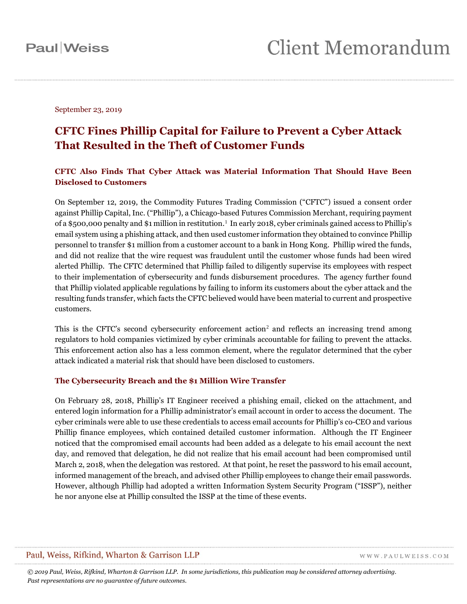September 23, 2019

### **CFTC Fines Phillip Capital for Failure to Prevent a Cyber Attack That Resulted in the Theft of Customer Funds**

### **CFTC Also Finds That Cyber Attack was Material Information That Should Have Been Disclosed to Customers**

On September 12, 2019, the Commodity Futures Trading Commission ("CFTC") issued a consent order against Phillip Capital, Inc. ("Phillip"), a Chicago-based Futures Commission Merchant, requiring payment of a \$500,000 penalty and \$1 million in restitution.<sup>1</sup> In early 2018, cyber criminals gained access to Phillip's email system using a phishing attack, and then used customer information they obtained to convince Phillip personnel to transfer \$1 million from a customer account to a bank in Hong Kong. Phillip wired the funds, and did not realize that the wire request was fraudulent until the customer whose funds had been wired alerted Phillip. The CFTC determined that Phillip failed to diligently supervise its employees with respect to their implementation of cybersecurity and funds disbursement procedures. The agency further found that Phillip violated applicable regulations by failing to inform its customers about the cyber attack and the resulting funds transfer, which facts the CFTC believed would have been material to current and prospective customers.

This is the CFTC's second cybersecurity enforcement action<sup>2</sup> and reflects an increasing trend among regulators to hold companies victimized by cyber criminals accountable for failing to prevent the attacks. This enforcement action also has a less common element, where the regulator determined that the cyber attack indicated a material risk that should have been disclosed to customers.

#### **The Cybersecurity Breach and the \$1 Million Wire Transfer**

On February 28, 2018, Phillip's IT Engineer received a phishing email, clicked on the attachment, and entered login information for a Phillip administrator's email account in order to access the document. The cyber criminals were able to use these credentials to access email accounts for Phillip's co-CEO and various Phillip finance employees, which contained detailed customer information. Although the IT Engineer noticed that the compromised email accounts had been added as a delegate to his email account the next day, and removed that delegation, he did not realize that his email account had been compromised until March 2, 2018, when the delegation was restored. At that point, he reset the password to his email account, informed management of the breach, and advised other Phillip employees to change their email passwords. However, although Phillip had adopted a written Information System Security Program ("ISSP"), neither he nor anyone else at Phillip consulted the ISSP at the time of these events.

### Paul, Weiss, Rifkind, Wharton & Garrison LLP

WWW.PAULWEISS.COM

*© 2019 Paul, Weiss, Rifkind, Wharton & Garrison LLP. In some jurisdictions, this publication may be considered attorney advertising. Past representations are no guarantee of future outcomes.*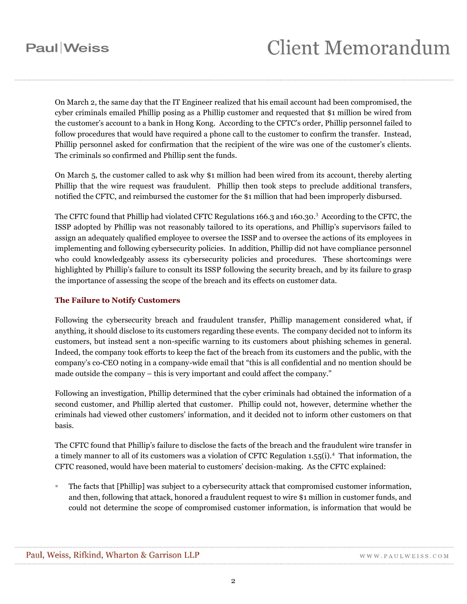## **Paul** Weiss

On March 2, the same day that the IT Engineer realized that his email account had been compromised, the cyber criminals emailed Phillip posing as a Phillip customer and requested that \$1 million be wired from the customer's account to a bank in Hong Kong. According to the CFTC's order, Phillip personnel failed to follow procedures that would have required a phone call to the customer to confirm the transfer. Instead, Phillip personnel asked for confirmation that the recipient of the wire was one of the customer's clients. The criminals so confirmed and Phillip sent the funds.

On March 5, the customer called to ask why \$1 million had been wired from its account, thereby alerting Phillip that the wire request was fraudulent. Phillip then took steps to preclude additional transfers, notified the CFTC, and reimbursed the customer for the \$1 million that had been improperly disbursed.

The CFTC found that Phillip had violated CFTC Regulations 166.3 and 160.30.<sup>3</sup> According to the CFTC, the ISSP adopted by Phillip was not reasonably tailored to its operations, and Phillip's supervisors failed to assign an adequately qualified employee to oversee the ISSP and to oversee the actions of its employees in implementing and following cybersecurity policies. In addition, Phillip did not have compliance personnel who could knowledgeably assess its cybersecurity policies and procedures. These shortcomings were highlighted by Phillip's failure to consult its ISSP following the security breach, and by its failure to grasp the importance of assessing the scope of the breach and its effects on customer data.

#### **The Failure to Notify Customers**

Following the cybersecurity breach and fraudulent transfer, Phillip management considered what, if anything, it should disclose to its customers regarding these events. The company decided not to inform its customers, but instead sent a non-specific warning to its customers about phishing schemes in general. Indeed, the company took efforts to keep the fact of the breach from its customers and the public, with the company's co-CEO noting in a company-wide email that "this is all confidential and no mention should be made outside the company – this is very important and could affect the company."

Following an investigation, Phillip determined that the cyber criminals had obtained the information of a second customer, and Phillip alerted that customer. Phillip could not, however, determine whether the criminals had viewed other customers' information, and it decided not to inform other customers on that basis.

The CFTC found that Phillip's failure to disclose the facts of the breach and the fraudulent wire transfer in a timely manner to all of its customers was a violation of CFTC Regulation 1.55(i).<sup>4</sup> That information, the CFTC reasoned, would have been material to customers' decision-making. As the CFTC explained:

 The facts that [Phillip] was subject to a cybersecurity attack that compromised customer information, and then, following that attack, honored a fraudulent request to wire \$1 million in customer funds, and could not determine the scope of compromised customer information, is information that would be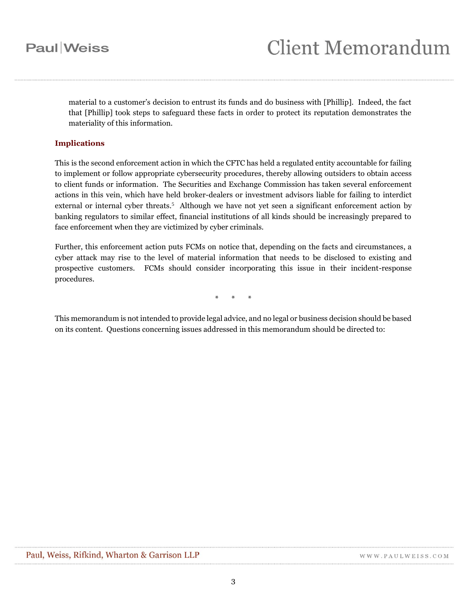## **Paul** Weiss

material to a customer's decision to entrust its funds and do business with [Phillip]. Indeed, the fact that [Phillip] took steps to safeguard these facts in order to protect its reputation demonstrates the materiality of this information.

#### **Implications**

This is the second enforcement action in which the CFTC has held a regulated entity accountable for failing to implement or follow appropriate cybersecurity procedures, thereby allowing outsiders to obtain access to client funds or information. The Securities and Exchange Commission has taken several enforcement actions in this vein, which have held broker-dealers or investment advisors liable for failing to interdict external or internal cyber threats.<sup>5</sup> Although we have not yet seen a significant enforcement action by banking regulators to similar effect, financial institutions of all kinds should be increasingly prepared to face enforcement when they are victimized by cyber criminals.

Further, this enforcement action puts FCMs on notice that, depending on the facts and circumstances, a cyber attack may rise to the level of material information that needs to be disclosed to existing and prospective customers. FCMs should consider incorporating this issue in their incident-response procedures.

\* \* \*

This memorandum is not intended to provide legal advice, and no legal or business decision should be based on its content. Questions concerning issues addressed in this memorandum should be directed to: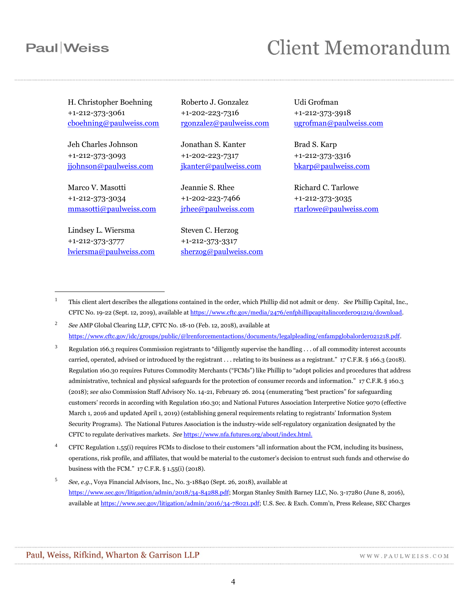### **Paul** Weiss

 $\overline{a}$ 

## **Client Memorandum**

H. Christopher Boehning +1-212-373-3061 [cboehning@paulweiss.com](mailto:cboehning@paulweiss.com)

Jeh Charles Johnson +1-212-373-3093 [jjohnson@paulweiss.com](mailto:jjohnson@paulweiss.com)

Marco V. Masotti +1-212-373-3034 [mmasotti@paulweiss.com](mailto:mmasotti@paulweiss.com)

Lindsey L. Wiersma +1-212-373-3777 [lwiersma@paulweiss.com](mailto:lwiersma@paulweiss.com) Roberto J. Gonzalez +1-202-223-7316 [rgonzalez@paulweiss.com](mailto:rgonzalez@paulweiss.com)

Jonathan S. Kanter +1-202-223-7317 [jkanter@paulweiss.com](mailto:jkanter@paulweiss.com)

Jeannie S. Rhee +1-202-223-7466 [jrhee@paulweiss.com](mailto:jrhee@paulweiss.com)

Steven C. Herzog +1-212-373-3317 [sherzog@paulweiss.com](mailto:sherzog@paulweiss.com) Udi Grofman +1-212-373-3918 [ugrofman@paulweiss.com](mailto:ugrofman@paulweiss.com)

Brad S. Karp +1-212-373-3316 [bkarp@paulweiss.com](mailto:bkarp@paulweiss.com)

Richard C. Tarlowe +1-212-373-3035 [rtarlowe@paulweiss.com](mailto:rtarlowe@paulweiss.com)

- <sup>1</sup> This client alert describes the allegations contained in the order, which Phillip did not admit or deny. *See* Phillip Capital, Inc., CFTC No. 19-22 (Sept. 12, 2019), available a[t https://www.cftc.gov/media/2476/enfphillipcapitalincorder091219/download.](https://www.cftc.gov/media/2476/enfphillipcapitalincorder091219/download)
- 2 *See* AMP Global Clearing LLP, CFTC No. 18-10 (Feb. 12, 2018), available at [https://www.cftc.gov/idc/groups/public/@lrenforcementactions/documents/legalpleading/enfampglobalorder021218.pdf.](https://www.cftc.gov/idc/groups/public/@lrenforcementactions/documents/legalpleading/enfampglobalorder021218.pdf)
- $3$  Regulation 166.3 requires Commission registrants to "diligently supervise the handling . . . of all commodity interest accounts carried, operated, advised or introduced by the registrant . . . relating to its business as a registrant." 17 C.F.R. § 166.3 (2018). Regulation 160.30 requires Futures Commodity Merchants ("FCMs") like Phillip to "adopt policies and procedures that address administrative, technical and physical safeguards for the protection of consumer records and information." 17 C.F.R. § 160.3 (2018); *see also* Commission Staff Advisory No. 14-21, February 26. 2014 (enumerating "best practices" for safeguarding customers' records in according with Regulation 160.30; and National Futures Association Interpretive Notice 9070 (effective March 1, 2016 and updated April 1, 2019) (establishing general requirements relating to registrants' Information System Security Programs). The National Futures Association is the industry-wide self-regulatory organization designated by the CFTC to regulate derivatives markets. *See* [https://www.nfa.futures.org/about/index.html.](https://www.nfa.futures.org/about/index.html)
- <sup>4</sup> CFTC Regulation 1.55(i) requires FCMs to disclose to their customers "all information about the FCM, including its business, operations, risk profile, and affiliates, that would be material to the customer's decision to entrust such funds and otherwise do business with the FCM." 17 C.F.R. § 1.55(i) (2018).
- 5 *See, e.g.*, Voya Financial Advisors, Inc., No. 3-18840 (Sept. 26, 2018), available at [https://www.sec.gov/litigation/admin/2018/34-84288.pdf;](https://www.sec.gov/litigation/admin/2018/34-84288.pdf) Morgan Stanley Smith Barney LLC, No. 3-17280 (June 8, 2016), available at [https://www.sec.gov/litigation/admin/2016/34-78021.pdf;](https://www.sec.gov/litigation/admin/2016/34-78021.pdf) U.S. Sec. & Exch. Comm'n, Press Release, SEC Charges